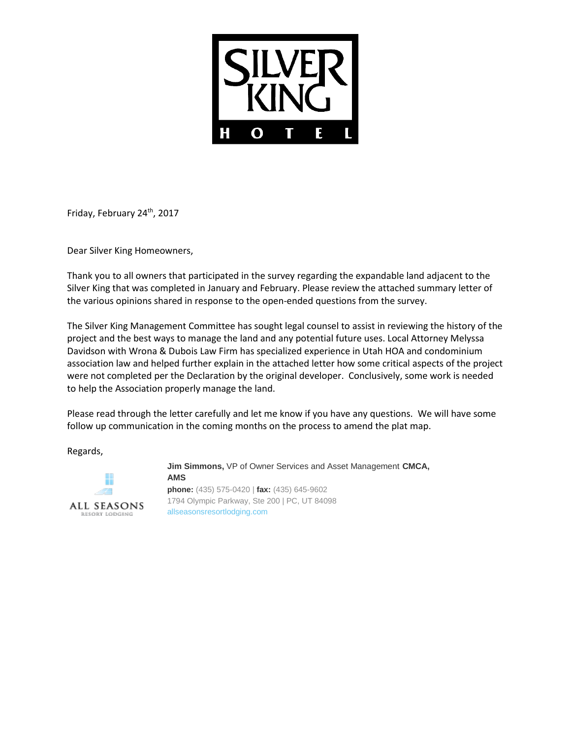

Friday, February 24<sup>th</sup>, 2017

Dear Silver King Homeowners,

Thank you to all owners that participated in the survey regarding the expandable land adjacent to the Silver King that was completed in January and February. Please review the attached summary letter of the various opinions shared in response to the open-ended questions from the survey.

The Silver King Management Committee has sought legal counsel to assist in reviewing the history of the project and the best ways to manage the land and any potential future uses. Local Attorney Melyssa Davidson with Wrona & Dubois Law Firm has specialized experience in Utah HOA and condominium association law and helped further explain in the attached letter how some critical aspects of the project were not completed per the Declaration by the original developer. Conclusively, some work is needed to help the Association properly manage the land.

Please read through the letter carefully and let me know if you have any questions. We will have some follow up communication in the coming months on the process to amend the plat map.

Regards,



**Jim Simmons,** VP of Owner Services and Asset Management **CMCA, AMS phone:** (435) 575-0420 | **fax:** (435) 645-9602 1794 Olympic Parkway, Ste 200 | PC, UT 84098 [allseasonsresortlodging.com](http://www.allseasonsresortlodging.com/)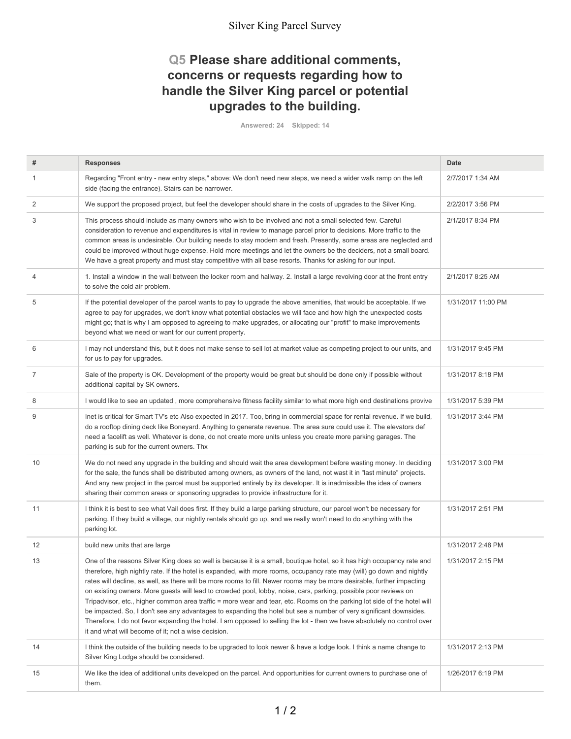### Silver King Parcel Survey

## **Q5 Please share additional comments, concerns or requests regarding how to handle the Silver King parcel or potential upgrades to the building.**

**Answered: 24 Skipped: 14**

| #              | <b>Responses</b>                                                                                                                                                                                                                                                                                                                                                                                                                                                                                                                                                                                                                                                                                                                                                                                                                                                                                                                     | Date               |
|----------------|--------------------------------------------------------------------------------------------------------------------------------------------------------------------------------------------------------------------------------------------------------------------------------------------------------------------------------------------------------------------------------------------------------------------------------------------------------------------------------------------------------------------------------------------------------------------------------------------------------------------------------------------------------------------------------------------------------------------------------------------------------------------------------------------------------------------------------------------------------------------------------------------------------------------------------------|--------------------|
|                |                                                                                                                                                                                                                                                                                                                                                                                                                                                                                                                                                                                                                                                                                                                                                                                                                                                                                                                                      | 2/7/2017 1:34 AM   |
| 1              | Regarding "Front entry - new entry steps," above: We don't need new steps, we need a wider walk ramp on the left<br>side (facing the entrance). Stairs can be narrower.                                                                                                                                                                                                                                                                                                                                                                                                                                                                                                                                                                                                                                                                                                                                                              |                    |
| 2              | We support the proposed project, but feel the developer should share in the costs of upgrades to the Silver King.                                                                                                                                                                                                                                                                                                                                                                                                                                                                                                                                                                                                                                                                                                                                                                                                                    | 2/2/2017 3:56 PM   |
| 3              | This process should include as many owners who wish to be involved and not a small selected few. Careful<br>consideration to revenue and expenditures is vital in review to manage parcel prior to decisions. More traffic to the<br>common areas is undesirable. Our building needs to stay modern and fresh. Presently, some areas are neglected and<br>could be improved without huge expense. Hold more meetings and let the owners be the deciders, not a small board.<br>We have a great property and must stay competitive with all base resorts. Thanks for asking for our input.                                                                                                                                                                                                                                                                                                                                            | 2/1/2017 8:34 PM   |
| 4              | 1. Install a window in the wall between the locker room and hallway. 2. Install a large revolving door at the front entry<br>to solve the cold air problem.                                                                                                                                                                                                                                                                                                                                                                                                                                                                                                                                                                                                                                                                                                                                                                          | 2/1/2017 8:25 AM   |
| 5              | If the potential developer of the parcel wants to pay to upgrade the above amenities, that would be acceptable. If we<br>agree to pay for upgrades, we don't know what potential obstacles we will face and how high the unexpected costs<br>might go; that is why I am opposed to agreeing to make upgrades, or allocating our "profit" to make improvements<br>beyond what we need or want for our current property.                                                                                                                                                                                                                                                                                                                                                                                                                                                                                                               | 1/31/2017 11:00 PM |
| 6              | I may not understand this, but it does not make sense to sell lot at market value as competing project to our units, and<br>for us to pay for upgrades.                                                                                                                                                                                                                                                                                                                                                                                                                                                                                                                                                                                                                                                                                                                                                                              | 1/31/2017 9:45 PM  |
| $\overline{7}$ | Sale of the property is OK. Development of the property would be great but should be done only if possible without<br>additional capital by SK owners.                                                                                                                                                                                                                                                                                                                                                                                                                                                                                                                                                                                                                                                                                                                                                                               | 1/31/2017 8:18 PM  |
| 8              | I would like to see an updated, more comprehensive fitness facility similar to what more high end destinations provive                                                                                                                                                                                                                                                                                                                                                                                                                                                                                                                                                                                                                                                                                                                                                                                                               | 1/31/2017 5:39 PM  |
| 9              | Inet is critical for Smart TV's etc Also expected in 2017. Too, bring in commercial space for rental revenue. If we build,<br>do a rooftop dining deck like Boneyard. Anything to generate revenue. The area sure could use it. The elevators def<br>need a facelift as well. Whatever is done, do not create more units unless you create more parking garages. The<br>parking is sub for the current owners. Thx                                                                                                                                                                                                                                                                                                                                                                                                                                                                                                                   | 1/31/2017 3:44 PM  |
| 10             | We do not need any upgrade in the building and should wait the area development before wasting money. In deciding<br>for the sale, the funds shall be distributed among owners, as owners of the land, not wast it in "last minute" projects.<br>And any new project in the parcel must be supported entirely by its developer. It is inadmissible the idea of owners<br>sharing their common areas or sponsoring upgrades to provide infrastructure for it.                                                                                                                                                                                                                                                                                                                                                                                                                                                                         | 1/31/2017 3:00 PM  |
| 11             | I think it is best to see what Vail does first. If they build a large parking structure, our parcel won't be necessary for<br>parking. If they build a village, our nightly rentals should go up, and we really won't need to do anything with the<br>parking lot.                                                                                                                                                                                                                                                                                                                                                                                                                                                                                                                                                                                                                                                                   | 1/31/2017 2:51 PM  |
| 12             | build new units that are large                                                                                                                                                                                                                                                                                                                                                                                                                                                                                                                                                                                                                                                                                                                                                                                                                                                                                                       | 1/31/2017 2:48 PM  |
| 13             | One of the reasons Silver King does so well is because it is a small, boutique hotel, so it has high occupancy rate and<br>therefore, high nightly rate. If the hotel is expanded, with more rooms, occupancy rate may (will) go down and nightly<br>rates will decline, as well, as there will be more rooms to fill. Newer rooms may be more desirable, further impacting<br>on existing owners. More guests will lead to crowded pool, lobby, noise, cars, parking, possible poor reviews on<br>Tripadvisor, etc., higher common area traffic = more wear and tear, etc. Rooms on the parking lot side of the hotel will<br>be impacted. So, I don't see any advantages to expanding the hotel but see a number of very significant downsides.<br>Therefore, I do not favor expanding the hotel. I am opposed to selling the lot - then we have absolutely no control over<br>it and what will become of it; not a wise decision. | 1/31/2017 2:15 PM  |
| 14             | I think the outside of the building needs to be upgraded to look newer & have a lodge look. I think a name change to<br>Silver King Lodge should be considered.                                                                                                                                                                                                                                                                                                                                                                                                                                                                                                                                                                                                                                                                                                                                                                      | 1/31/2017 2:13 PM  |
| 15             | We like the idea of additional units developed on the parcel. And opportunities for current owners to purchase one of<br>them.                                                                                                                                                                                                                                                                                                                                                                                                                                                                                                                                                                                                                                                                                                                                                                                                       | 1/26/2017 6:19 PM  |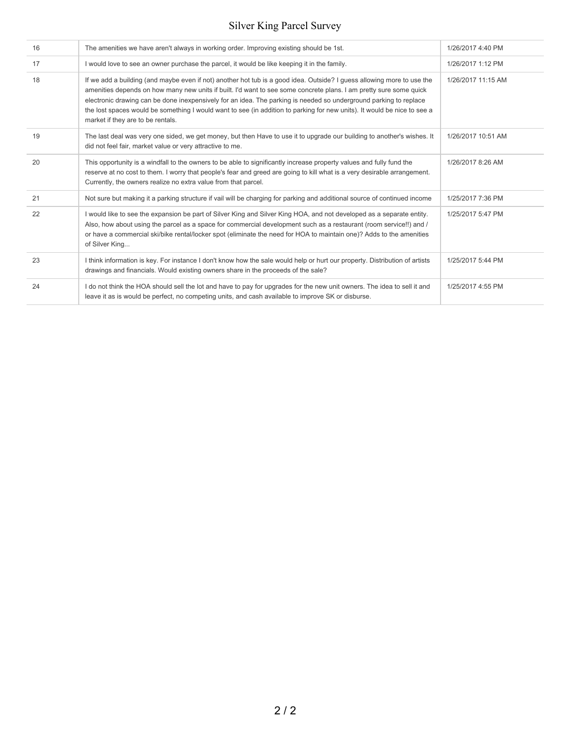# Silver King Parcel Survey

| 16 | The amenities we have aren't always in working order. Improving existing should be 1st.                                                                                                                                                                                                                                                                                                                                                                                                                                            | 1/26/2017 4:40 PM  |
|----|------------------------------------------------------------------------------------------------------------------------------------------------------------------------------------------------------------------------------------------------------------------------------------------------------------------------------------------------------------------------------------------------------------------------------------------------------------------------------------------------------------------------------------|--------------------|
| 17 | I would love to see an owner purchase the parcel, it would be like keeping it in the family.                                                                                                                                                                                                                                                                                                                                                                                                                                       | 1/26/2017 1:12 PM  |
| 18 | If we add a building (and maybe even if not) another hot tub is a good idea. Outside? I quess allowing more to use the<br>amenities depends on how many new units if built. I'd want to see some concrete plans. I am pretty sure some quick<br>electronic drawing can be done inexpensively for an idea. The parking is needed so underground parking to replace<br>the lost spaces would be something I would want to see (in addition to parking for new units). It would be nice to see a<br>market if they are to be rentals. | 1/26/2017 11:15 AM |
| 19 | The last deal was very one sided, we get money, but then Have to use it to upgrade our building to another's wishes. It<br>did not feel fair, market value or very attractive to me.                                                                                                                                                                                                                                                                                                                                               | 1/26/2017 10:51 AM |
| 20 | This opportunity is a windfall to the owners to be able to significantly increase property values and fully fund the<br>reserve at no cost to them. I worry that people's fear and greed are going to kill what is a very desirable arrangement.<br>Currently, the owners realize no extra value from that parcel.                                                                                                                                                                                                                 | 1/26/2017 8:26 AM  |
| 21 | Not sure but making it a parking structure if vail will be charging for parking and additional source of continued income                                                                                                                                                                                                                                                                                                                                                                                                          | 1/25/2017 7:36 PM  |
| 22 | I would like to see the expansion be part of Silver King and Silver King HOA, and not developed as a separate entity.<br>Also, how about using the parcel as a space for commercial development such as a restaurant (room service!!) and /<br>or have a commercial ski/bike rental/locker spot (eliminate the need for HOA to maintain one)? Adds to the amenities<br>of Silver King                                                                                                                                              | 1/25/2017 5:47 PM  |
| 23 | I think information is key. For instance I don't know how the sale would help or hurt our property. Distribution of artists<br>drawings and financials. Would existing owners share in the proceeds of the sale?                                                                                                                                                                                                                                                                                                                   | 1/25/2017 5:44 PM  |
| 24 | I do not think the HOA should sell the lot and have to pay for upgrades for the new unit owners. The idea to sell it and<br>leave it as is would be perfect, no competing units, and cash available to improve SK or disburse.                                                                                                                                                                                                                                                                                                     | 1/25/2017 4:55 PM  |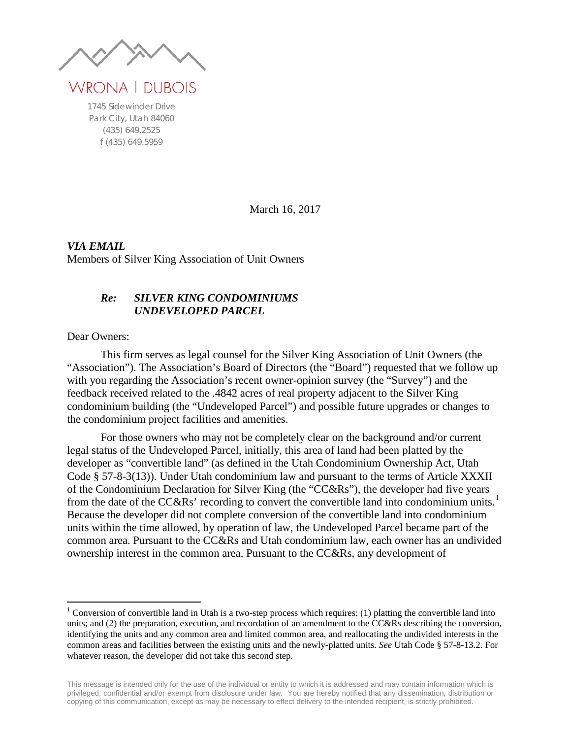WRONA | DUBOIS

1745 Sidewinder Drive Park City, Utah 84060 (435) 649.2525 f (435) 649.5959

March 16, 2017

*VIA EMAIL* Members of Silver King Association of Unit Owners

#### *Re: SILVER KING CONDOMINIUMS UNDEVELOPED PARCEL*

Dear Owners:

This firm serves as legal counsel for the Silver King Association of Unit Owners (the "Association"). The Association's Board of Directors (the "Board") requested that we follow up with you regarding the Association's recent owner-opinion survey (the "Survey") and the feedback received related to the .4842 acres of real property adjacent to the Silver King condominium building (the "Undeveloped Parcel") and possible future upgrades or changes to the condominium project facilities and amenities.

For those owners who may not be completely clear on the background and/or current legal status of the Undeveloped Parcel, initially, this area of land had been platted by the developer as "convertible land" (as defined in the Utah Condominium Ownership Act, Utah Code § 57-8-3(13)). Under Utah condominium law and pursuant to the terms of Article XXXII of the Condominium Declaration for Silver King (the "CC&Rs"), the developer had five years from the date of the  $CC&Rs'$  recording to convert the convertible land into condominium units.<sup>[1](#page-3-0)</sup> Because the developer did not complete conversion of the convertible land into condominium units within the time allowed, by operation of law, the Undeveloped Parcel became part of the common area. Pursuant to the CC&Rs and Utah condominium law, each owner has an undivided ownership interest in the common area. Pursuant to the CC&Rs, any development of

<span id="page-3-0"></span><sup>&</sup>lt;sup>1</sup> Conversion of convertible land in Utah is a two-step process which requires: (1) platting the convertible land into units; and (2) the preparation, execution, and recordation of an amendment to the CC&Rs describing the conversion, identifying the units and any common area and limited common area, and reallocating the undivided interests in the common areas and facilities between the existing units and the newly-platted units. *See* Utah Code § 57-8-13.2. For whatever reason, the developer did not take this second step.

This message is intended only for the use of the individual or entity to which it is addressed and may contain information which is privileged, confidential and/or exempt from disclosure under law. You are hereby notified that any dissemination, distribution or copying of this communication, except as may be necessary to effect delivery to the intended recipient, is strictly prohibited.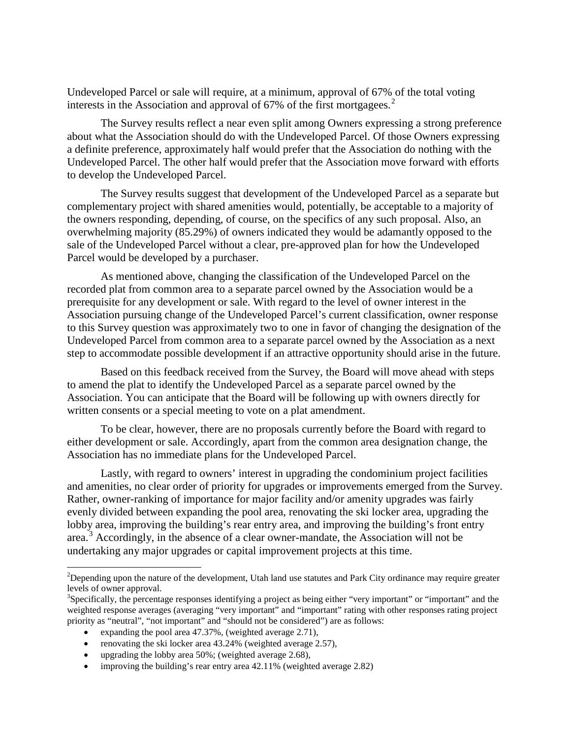Undeveloped Parcel or sale will require, at a minimum, approval of 67% of the total voting interests in the Association and approval of 67% of the first mortgagees. [2](#page-4-0)

The Survey results reflect a near even split among Owners expressing a strong preference about what the Association should do with the Undeveloped Parcel. Of those Owners expressing a definite preference, approximately half would prefer that the Association do nothing with the Undeveloped Parcel. The other half would prefer that the Association move forward with efforts to develop the Undeveloped Parcel.

The Survey results suggest that development of the Undeveloped Parcel as a separate but complementary project with shared amenities would, potentially, be acceptable to a majority of the owners responding, depending, of course, on the specifics of any such proposal. Also, an overwhelming majority (85.29%) of owners indicated they would be adamantly opposed to the sale of the Undeveloped Parcel without a clear, pre-approved plan for how the Undeveloped Parcel would be developed by a purchaser.

As mentioned above, changing the classification of the Undeveloped Parcel on the recorded plat from common area to a separate parcel owned by the Association would be a prerequisite for any development or sale. With regard to the level of owner interest in the Association pursuing change of the Undeveloped Parcel's current classification, owner response to this Survey question was approximately two to one in favor of changing the designation of the Undeveloped Parcel from common area to a separate parcel owned by the Association as a next step to accommodate possible development if an attractive opportunity should arise in the future.

Based on this feedback received from the Survey, the Board will move ahead with steps to amend the plat to identify the Undeveloped Parcel as a separate parcel owned by the Association. You can anticipate that the Board will be following up with owners directly for written consents or a special meeting to vote on a plat amendment.

To be clear, however, there are no proposals currently before the Board with regard to either development or sale. Accordingly, apart from the common area designation change, the Association has no immediate plans for the Undeveloped Parcel.

Lastly, with regard to owners' interest in upgrading the condominium project facilities and amenities, no clear order of priority for upgrades or improvements emerged from the Survey. Rather, owner-ranking of importance for major facility and/or amenity upgrades was fairly evenly divided between expanding the pool area, renovating the ski locker area, upgrading the lobby area, improving the building's rear entry area, and improving the building's front entry area.<sup>[3](#page-4-1)</sup> Accordingly, in the absence of a clear owner-mandate, the Association will not be undertaking any major upgrades or capital improvement projects at this time.

- renovating the ski locker area 43.24% (weighted average 2.57),
- upgrading the lobby area  $50\%$ ; (weighted average 2.68),
- improving the building's rear entry area 42.11% (weighted average 2.82)

<span id="page-4-0"></span> $\frac{1}{2}$ <sup>2</sup>Depending upon the nature of the development, Utah land use statutes and Park City ordinance may require greater levels of owner approval.

<span id="page-4-1"></span> $3$ Specifically, the percentage responses identifying a project as being either "very important" or "important" and the weighted response averages (averaging "very important" and "important" rating with other responses rating project priority as "neutral", "not important" and "should not be considered") are as follows:

expanding the pool area 47.37%, (weighted average 2.71),